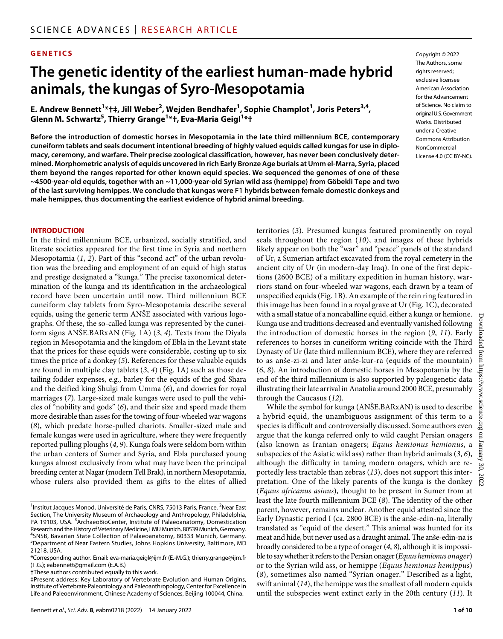#### **GENETICS**

# **The genetic identity ofthe earliest human-made hybrid animals, the kungas of Syro-Mesopotamia**

 $\mathbf{E.}$  Andrew Bennett<sup>1</sup>\*†‡, Jill Weber<sup>2</sup>, Wejden Bendhafer<sup>1</sup>, Sophie Champlot<sup>1</sup>, Joris Peters<sup>3,4</sup>, **Glenn M. Schwartz<sup>5</sup> , Thierry Grange1 \*†, Eva-Maria Geigl1 \*†**

**Before the introduction of domestic horses in Mesopotamia in the late third millennium BCE, contemporary cuneiform tablets and seals document intentional breeding of highly valued equids called kungas for use in diplomacy, ceremony, and warfare. Their precise zoological classification, however, has never been conclusively determined. Morphometric analysis of equids uncovered in rich Early Bronze Age burials at Umm el-Marra, Syria, placed them beyond the ranges reported for other known equid species. We sequenced the genomes of one of these ~4500-year-old equids, together with an ~11,000-year-old Syrian wild ass (hemippe) from Göbekli Tepe and two of the last surviving hemippes. We conclude that kungas were F1 hybrids between female domestic donkeys and male hemippes, thus documenting the earliest evidence of hybrid animal breeding.**

Copyright © 2022 The Authors, some rights reserved: exclusive licensee American Association for the Advancement of Science. No claim to original U.S.Government Works. Distributed under a Creative Commons Attribution NonCommercial License 4.0 (CC BY-NC).

#### **INTRODUCTION**

In the third millennium BCE, urbanized, socially stratified, and literate societies appeared for the first time in Syria and northern Mesopotamia (*1*, *2*). Part of this "second act" of the urban revolution was the breeding and employment of an equid of high status and prestige designated a "kunga." The precise taxonomical determination of the kunga and its identification in the archaeological record have been uncertain until now. Third millennium BCE cuneiform clay tablets from Syro-Mesopotamia describe several equids, using the generic term ANŠE associated with various logographs. Of these, the so-called kunga was represented by the cuneiform signs ANŠE.BARxAN (Fig. 1A) (*3*, *4*). Texts from the Diyala region in Mesopotamia and the kingdom of Ebla in the Levant state that the prices for these equids were considerable, costing up to six times the price of a donkey (*5*). References for these valuable equids are found in multiple clay tablets (*3*, *4*) (Fig. 1A) such as those detailing fodder expenses, e.g., barley for the equids of the god Shara and the deified king Shulgi from Umma (*6*), and dowries for royal marriages (*7*). Large-sized male kungas were used to pull the vehicles of "nobility and gods" (*6*), and their size and speed made them more desirable than asses for the towing of four-wheeled war wagons (*8*), which predate horse-pulled chariots. Smaller-sized male and female kungas were used in agriculture, where they were frequently reported pulling ploughs (*4*, *9*). Kunga foals were seldom born within the urban centers of Sumer and Syria, and Ebla purchased young kungas almost exclusively from what may have been the principal breeding center at Nagar (modern Tell Brak), in northern Mesopotamia, whose rulers also provided them as gifts to the elites of allied

†These authors contributed equally to this work.

territories (*3*). Presumed kungas featured prominently on royal seals throughout the region (*10*), and images of these hybrids likely appear on both the "war" and "peace" panels of the standard of Ur, a Sumerian artifact excavated from the royal cemetery in the ancient city of Ur (in modern-day Iraq). In one of the first depictions (2600 BCE) of a military expedition in human history, warriors stand on four-wheeled war wagons, each drawn by a team of unspecified equids (Fig. 1B). An example of the rein ring featured in this image has been found in a royal grave at Ur (Fig. 1C), decorated with a small statue of a noncaballine equid, either a kunga or hemione. Kunga use and traditions decreased and eventually vanished following the introduction of domestic horses in the region (*9*, *11*). Early references to horses in cuneiform writing coincide with the Third Dynasty of Ur (late third millennium BCE), where they are referred to as anše-zi-zi and later anše-kur-ra (equids of the mountain) (*6*, *8*). An introduction of domestic horses in Mesopotamia by the end of the third millennium is also supported by paleogenetic data illustrating their late arrival in Anatolia around 2000 BCE, presumably through the Caucasus (*12*).

While the symbol for kunga (ANŠE.BARxAN) is used to describe a hybrid equid, the unambiguous assignment of this term to a species is difficult and controversially discussed. Some authors even argue that the kunga referred only to wild caught Persian onagers (also known as Iranian onagers; *Equus hemionus hemionus*, a subspecies of the Asiatic wild ass) rather than hybrid animals (*3*, *6*), although the difficulty in taming modern onagers, which are reportedly less tractable than zebras (*13*), does not support this interpretation. One of the likely parents of the kunga is the donkey (*Equus africanus asinus*), thought to be present in Sumer from at least the late fourth millennium BCE (*8*). The identity of the other parent, however, remains unclear. Another equid attested since the Early Dynastic period I (ca. 2800 BCE) is the anše-edin-na, literally translated as "equid of the desert." This animal was hunted for its meat and hide, but never used as a draught animal. The anše-edin-na is broadly considered to be a type of onager (*4*, *8*), although it is impossible to say whether it refers to the Persian onager (*Equus hemionus onager*) or to the Syrian wild ass, or hemippe (*Equus hemionus hemippus*) (*8*), sometimes also named "Syrian onager." Described as a light, swift animal (*14*), the hemippe was the smallest of all modern equids until the subspecies went extinct early in the 20th century (*11*). It

<sup>&</sup>lt;sup>1</sup>Institut Jacques Monod, Université de Paris, CNRS, 75013 Paris, France. <sup>2</sup>Near East Section, The University Museum of Archaeology and Anthropology, Philadelphia, PA 19103, USA. <sup>3</sup>ArchaeoBioCenter, Institute of Palaeoanatomy, Domestication Research and the History of Veterinary Medicine, LMU Munich, 80539 Munich, Germany. 4 SNSB, Bavarian State Collection of Palaeoanatomy, 80333 Munich, Germany. 5 Department of Near Eastern Studies, Johns Hopkins University, Baltimore, MD 21218, USA.

<sup>\*</sup>Corresponding author. Email: [eva-maria.geigl@ijm.fr](mailto:eva-maria.geigl@ijm.fr) (E.-M.G.); [thierry.grange@ijm.fr](mailto:thierry.grange@ijm.fr) (T.G.); [eabennett@gmail.com](mailto:eabennett@gmail.com) (E.A.B.)

<sup>‡</sup>Present address: Key Laboratory of Vertebrate Evolution and Human Origins, Institute of Vertebrate Paleontology and Paleoanthropology, Center for Excellence in Life and Paleoenvironment, Chinese Academy of Sciences, Beijing 100044, China.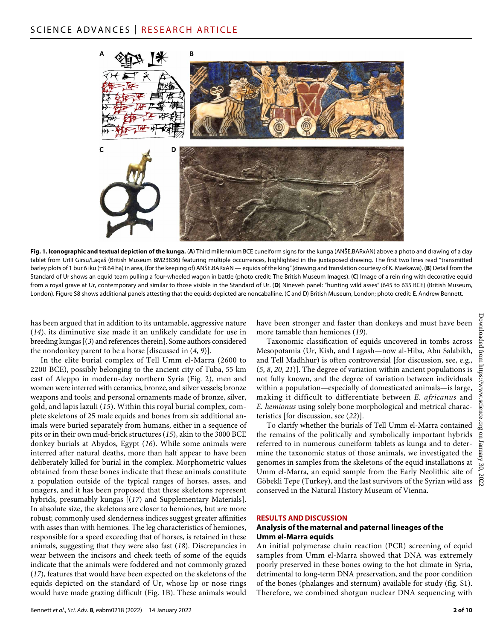

**Fig. 1. Iconographic and textual depiction of the kunga.** (**A**) Third millennium BCE cuneiform signs for the kunga (ANŠE.BARxAN) above a photo and drawing of a clay tablet from UrIII Girsu/Lagaš (British Museum BM23836) featuring multiple occurrences, highlighted in the juxtaposed drawing. The first two lines read "transmitted barley plots of 1 bur 6 iku (=8.64 ha) in area, (for the keeping of) ANŠE.BARxAN — equids of the king" (drawing and translation courtesy of K. Maekawa). (**B**) Detail from the Standard of Ur shows an equid team pulling a four-wheeled wagon in battle (photo credit: The British Museum Images). (**C**) Image of a rein ring with decorative equid from a royal grave at Ur, contemporary and similar to those visible in the Standard of Ur. (**D**) Nineveh panel: "hunting wild asses" (645 to 635 BCE) (British Museum, London). Figure S8 shows additional panels attesting that the equids depicted are noncaballine. (C and D) British Museum, London; photo credit: E. Andrew Bennett.

has been argued that in addition to its untamable, aggressive nature (*14*), its diminutive size made it an unlikely candidate for use in breeding kungas [(*3*) and references therein]. Some authors considered the nondonkey parent to be a horse [discussed in (*4*, *9*)].

In the elite burial complex of Tell Umm el-Marra (2600 to 2200 BCE), possibly belonging to the ancient city of Tuba, 55 km east of Aleppo in modern-day northern Syria (Fig. 2), men and women were interred with ceramics, bronze, and silver vessels; bronze weapons and tools; and personal ornaments made of bronze, silver, gold, and lapis lazuli (*15*). Within this royal burial complex, complete skeletons of 25 male equids and bones from six additional animals were buried separately from humans, either in a sequence of pits or in their own mud-brick structures (*15*), akin to the 3000 BCE donkey burials at Abydos, Egypt (*16*). While some animals were interred after natural deaths, more than half appear to have been deliberately killed for burial in the complex. Morphometric values obtained from these bones indicate that these animals constitute a population outside of the typical ranges of horses, asses, and onagers, and it has been proposed that these skeletons represent hybrids, presumably kungas [(*17*) and Supplementary Materials]. In absolute size, the skeletons are closer to hemiones, but are more robust; commonly used slenderness indices suggest greater affinities with asses than with hemiones. The leg characteristics of hemiones, responsible for a speed exceeding that of horses, is retained in these animals, suggesting that they were also fast (*18*). Discrepancies in wear between the incisors and cheek teeth of some of the equids indicate that the animals were foddered and not commonly grazed (*17*), features that would have been expected on the skeletons of the equids depicted on the standard of Ur, whose lip or nose rings would have made grazing difficult (Fig. 1B). These animals would

have been stronger and faster than donkeys and must have been more tamable than hemiones (*19*).

Taxonomic classification of equids uncovered in tombs across Mesopotamia (Ur, Kish, and Lagash—now al-Hiba, Abu Salabikh, and Tell Madhhur) is often controversial [for discussion, see, e.g., (*5*, *8*, *20*, *21*)]. The degree of variation within ancient populations is not fully known, and the degree of variation between individuals within a population—especially of domesticated animals—is large, making it difficult to differentiate between *E. africanus* and *E. hemionus* using solely bone morphological and metrical characteristics [for discussion, see (*22*)].

To clarify whether the burials of Tell Umm el-Marra contained the remains of the politically and symbolically important hybrids referred to in numerous cuneiform tablets as kunga and to determine the taxonomic status of those animals, we investigated the genomes in samples from the skeletons of the equid installations at Umm el-Marra, an equid sample from the Early Neolithic site of Göbekli Tepe (Turkey), and the last survivors of the Syrian wild ass conserved in the Natural History Museum of Vienna.

#### **RESULTS AND DISCUSSION**

#### **Analysis ofthe maternal and paternal lineages ofthe Umm el-Marra equids**

An initial polymerase chain reaction (PCR) screening of equid samples from Umm el-Marra showed that DNA was extremely poorly preserved in these bones owing to the hot climate in Syria, detrimental to long-term DNA preservation, and the poor condition of the bones (phalanges and sternum) available for study (fig. S1). Therefore, we combined shotgun nuclear DNA sequencing with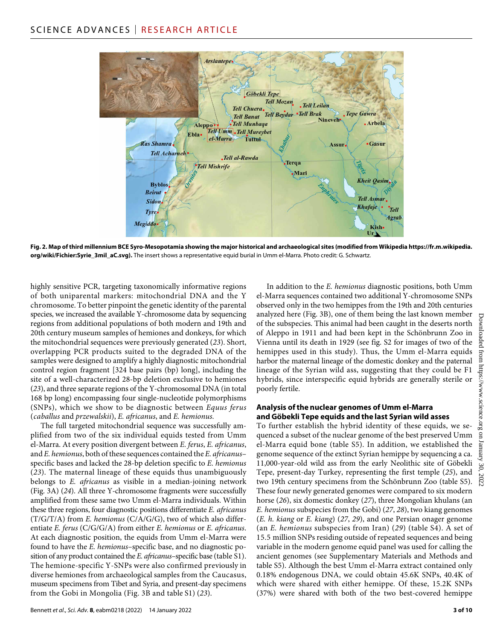

**Fig. 2. Map of third millennium BCE Syro-Mesopotamia showing the major historical and archaeological sites (modified from Wikipedia [https://fr.m.wikipedia.](https://fr.m.wikipedia.org/wiki/Fichier:Syrie_3mil_aC.svg) [org/wiki/Fichier:Syrie\\_3mil\\_aC.svg](https://fr.m.wikipedia.org/wiki/Fichier:Syrie_3mil_aC.svg)).** The insert shows a representative equid burial in Umm el-Marra. Photo credit: G. Schwartz.

highly sensitive PCR, targeting taxonomically informative regions of both uniparental markers: mitochondrial DNA and the Y chromosome. To better pinpoint the genetic identity of the parental species, we increased the available Y-chromosome data by sequencing regions from additional populations of both modern and 19th and 20th century museum samples of hemiones and donkeys, for which the mitochondrial sequences were previously generated (*23*). Short, overlapping PCR products suited to the degraded DNA of the samples were designed to amplify a highly diagnostic mitochondrial control region fragment [324 base pairs (bp) long], including the site of a well-characterized 28-bp deletion exclusive to hemiones (*23*), and three separate regions of the Y-chromosomal DNA (in total 168 bp long) encompassing four single-nucleotide polymorphisms (SNPs), which we show to be diagnostic between *Equus ferus* (*caballus* and *przewalskii*), *E. africanus*, and *E. hemionus.*

The full targeted mitochondrial sequence was successfully amplified from two of the six individual equids tested from Umm el-Marra. At every position divergent between *E. ferus*, *E. africanus*, and *E. hemionus*, both of these sequences contained the *E. africanus*– specific bases and lacked the 28-bp deletion specific to *E. hemionus* (*23*). The maternal lineage of these equids thus unambiguously belongs to *E. africanus* as visible in a median-joining network (Fig. 3A) (*24*). All three Y-chromosome fragments were successfully amplified from these same two Umm el-Marra individuals. Within these three regions, four diagnostic positions differentiate *E. africanus* (T/G/T/A) from *E. hemionus* (C/A/G/G), two of which also differentiate *E. ferus* (C/G/G/A) from either *E. hemionus* or *E. africanus*. At each diagnostic position, the equids from Umm el-Marra were found to have the *E. hemionus*–specific base, and no diagnostic position of any product contained the *E. africanus*–specific base (table S1). The hemione-specific Y-SNPs were also confirmed previously in diverse hemiones from archaeological samples from the Caucasus, museum specimens from Tibet and Syria, and present-day specimens from the Gobi in Mongolia (Fig. 3B and table S1) (*23*).

In addition to the *E. hemionus* diagnostic positions, both Umm el-Marra sequences contained two additional Y-chromosome SNPs observed only in the two hemippes from the 19th and 20th centuries analyzed here (Fig. 3B), one of them being the last known member of the subspecies. This animal had been caught in the deserts north of Aleppo in 1911 and had been kept in the Schönbrunn Zoo in Vienna until its death in 1929 (see fig. S2 for images of two of the hemippes used in this study). Thus, the Umm el-Marra equids harbor the maternal lineage of the domestic donkey and the paternal lineage of the Syrian wild ass, suggesting that they could be F1 hybrids, since interspecific equid hybrids are generally sterile or poorly fertile.

#### **Analysis ofthe nuclear genomes ofUmm el-Marra andGöbekli Tepe equids and the last Syrian wild asses**

To further establish the hybrid identity of these equids, we sequenced a subset of the nuclear genome of the best preserved Umm el-Marra equid bone (table S5). In addition, we established the genome sequence of the extinct Syrian hemippe by sequencing a ca. 11,000-year-old wild ass from the early Neolithic site of Göbekli Tepe, present-day Turkey, representing the first temple (*25*), and two 19th century specimens from the Schönbrunn Zoo (table S5). These four newly generated genomes were compared to six modern horse (*26*), six domestic donkey (*27*), three Mongolian khulans (an *E. hemionus* subspecies from the Gobi) (*27*, *28*), two kiang genomes (*E. h. kiang* or *E. kiang*) (*27*, *29*), and one Persian onager genome (an *E. hemionus* subspecies from Iran) (*29*) (table S4). A set of 15.5 million SNPs residing outside of repeated sequences and being variable in the modern genome equid panel was used for calling the ancient genomes (see Supplementary Materials and Methods and table S5). Although the best Umm el-Marra extract contained only 0.18% endogenous DNA, we could obtain 45.6K SNPs, 40.4K of which were shared with either hemippe. Of these, 15.2K SNPs (37%) were shared with both of the two best-covered hemippe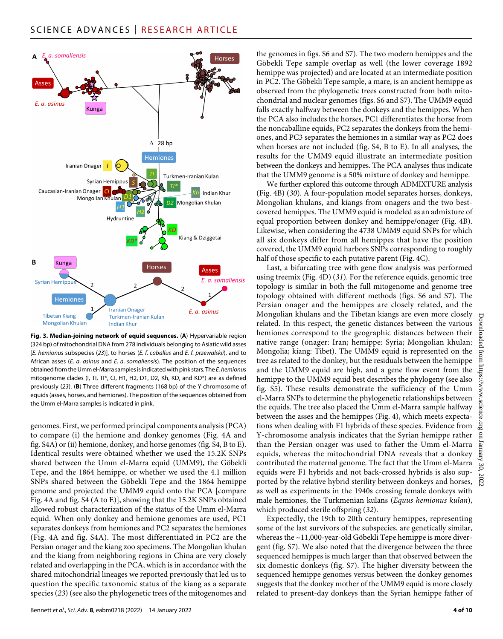

**Fig. 3. Median-joining network of equid sequences.** (**A**) Hypervariable region (324 bp) of mitochondrial DNA from 278 individuals belonging to Asiatic wild asses [*E. hemionus* subspecies (*23*)], to horses (*E. f. caballus* and *E. f. przewalskii*), and to African asses (*E. a. asinus* and *E. a. somaliensis*). The position of the sequences obtained from the Umm el-Marra samples is indicated with pink stars. The *E. hemionus* mitogenome clades (I, TI, TI\*, CI, H1, H2, D1, D2, Kh, KD, and KD\*) are as defined previously (*23*). (**B**) Three different fragments (168 bp) of the Y chromosome of equids (asses, horses, and hemiones). The position of the sequences obtained from the Umm el-Marra samples is indicated in pink.

genomes. First, we performed principal components analysis (PCA) to compare (i) the hemione and donkey genomes (Fig. 4A and fig. S4A) or (ii) hemione, donkey, and horse genomes (fig. S4, B to E). Identical results were obtained whether we used the 15.2K SNPs shared between the Umm el-Marra equid (UMM9), the Göbekli Tepe, and the 1864 hemippe, or whether we used the 4.1 million SNPs shared between the Göbekli Tepe and the 1864 hemippe genome and projected the UMM9 equid onto the PCA [compare Fig. 4A and fig. S4 (A to E)], showing that the 15.2K SNPs obtained allowed robust characterization of the status of the Umm el-Marra equid. When only donkey and hemione genomes are used, PC1 separates donkeys from hemiones and PC2 separates the hemiones (Fig. 4A and fig. S4A). The most differentiated in PC2 are the Persian onager and the kiang zoo specimens. The Mongolian khulan and the kiang from neighboring regions in China are very closely related and overlapping in the PCA, which is in accordance with the shared mitochondrial lineages we reported previously that led us to question the specific taxonomic status of the kiang as a separate species (*23*) (see also the phylogenetic trees of the mitogenomes and

Bennett *et al*., *Sci. Adv.* **8**, eabm0218 (2022) 14 January 2022

the genomes in figs. S6 and S7). The two modern hemippes and the Göbekli Tepe sample overlap as well (the lower coverage 1892 hemippe was projected) and are located at an intermediate position in PC2. The Göbekli Tepe sample, a mare, is an ancient hemippe as observed from the phylogenetic trees constructed from both mitochondrial and nuclear genomes (figs. S6 and S7). The UMM9 equid falls exactly halfway between the donkeys and the hemippes. When the PCA also includes the horses, PC1 differentiates the horse from the noncaballine equids, PC2 separates the donkeys from the hemiones, and PC3 separates the hemiones in a similar way as PC2 does when horses are not included (fig. S4, B to E). In all analyses, the results for the UMM9 equid illustrate an intermediate position between the donkeys and hemippes. The PCA analyses thus indicate that the UMM9 genome is a 50% mixture of donkey and hemippe.

We further explored this outcome through ADMIXTURE analysis (Fig. 4B) (*30*). A four-population model separates horses, donkeys, Mongolian khulans, and kiangs from onagers and the two bestcovered hemippes. The UMM9 equid is modeled as an admixture of equal proportion between donkey and hemippe/onager (Fig. 4B). Likewise, when considering the 4738 UMM9 equid SNPs for which all six donkeys differ from all hemippes that have the position covered, the UMM9 equid harbors SNPs corresponding to roughly half of those specific to each putative parent (Fig. 4C).

Last, a bifurcating tree with gene flow analysis was performed using treemix (Fig. 4D) (*31*). For the reference equids, genomic tree topology is similar in both the full mitogenome and genome tree topology obtained with different methods (figs. S6 and S7). The Persian onager and the hemippes are closely related, and the Mongolian khulans and the Tibetan kiangs are even more closely related. In this respect, the genetic distances between the various hemiones correspond to the geographic distances between their native range (onager: Iran; hemippe: Syria; Mongolian khulan: Mongolia; kiang: Tibet). The UMM9 equid is represented on the tree as related to the donkey, but the residuals between the hemippe and the UMM9 equid are high, and a gene flow event from the hemippe to the UMM9 equid best describes the phylogeny (see also fig. S5). These results demonstrate the sufficiency of the Umm el-Marra SNPs to determine the phylogenetic relationships between the equids. The tree also placed the Umm el-Marra sample halfway between the asses and the hemippes (Fig. 4), which meets expectations when dealing with F1 hybrids of these species. Evidence from Y-chromosome analysis indicates that the Syrian hemippe rather than the Persian onager was used to father the Umm el-Marra equids, whereas the mitochondrial DNA reveals that a donkey contributed the maternal genome. The fact that the Umm el-Marra equids were F1 hybrids and not back-crossed hybrids is also supported by the relative hybrid sterility between donkeys and horses, as well as experiments in the 1940s crossing female donkeys with male hemiones, the Turkmenian kulans (*Equus hemionus kulan*), which produced sterile offspring (*32*).

Expectedly, the 19th to 20th century hemippes, representing some of the last survivors of the subspecies, are genetically similar, whereas the ~11,000-year-old Göbekli Tepe hemippe is more divergent (fig. S7). We also noted that the divergence between the three sequenced hemippes is much larger than that observed between the six domestic donkeys (fig. S7). The higher diversity between the sequenced hemippe genomes versus between the donkey genomes suggests that the donkey mother of the UMM9 equid is more closely related to present-day donkeys than the Syrian hemippe father of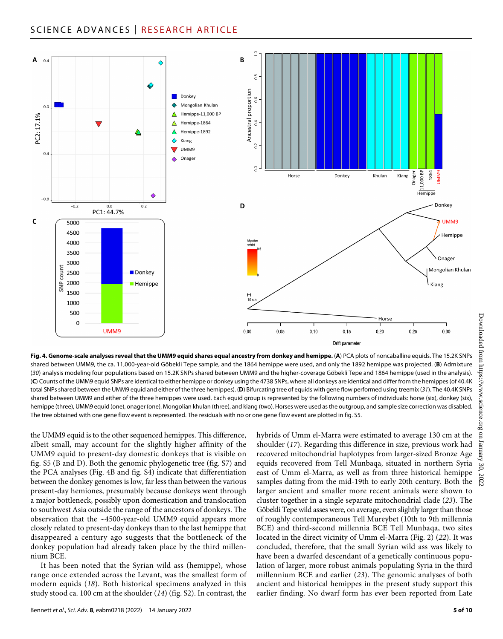# SCIENCE ADVANCES | RESEARCH ARTICLE



**Fig. 4. Genome-scale analyses reveal that the UMM9 equid shares equal ancestry from donkey and hemippe.** (**A**) PCA plots of noncaballine equids. The 15.2K SNPs shared between UMM9, the ca. 11,000-year-old Göbekli Tepe sample, and the 1864 hemippe were used, and only the 1892 hemippe was projected. (**B**) Admixture (*30*) analysis modeling four populations based on 15.2K SNPs shared between UMM9 and the higher-coverage Göbekli Tepe and 1864 hemippe (used in the analysis). (**C**) Counts of the UMM9 equid SNPs are identical to either hemippe or donkey using the 4738 SNPs, where all donkeys are identical and differ from the hemippes (of 40.4K total SNPs shared between the UMM9 equid and either of the three hemippes). (**D**) Bifurcating tree of equids with gene flow performed using treemix (*31*). The 40.4K SNPs shared between UMM9 and either of the three hemippes were used. Each equid group is represented by the following numbers of individuals: horse (six), donkey (six), hemippe (three), UMM9 equid (one), onager (one), Mongolian khulan (three), and kiang (two). Horses were used as the outgroup, and sample size correction was disabled. The tree obtained with one gene flow event is represented. The residuals with no or one gene flow event are plotted in fig. S5.

the UMM9 equid is to the other sequenced hemippes. This difference, albeit small, may account for the slightly higher affinity of the UMM9 equid to present-day domestic donkeys that is visible on fig. S5 (B and D). Both the genomic phylogenetic tree (fig. S7) and the PCA analyses (Fig. 4B and fig. S4) indicate that differentiation between the donkey genomes is low, far less than between the various present-day hemiones, presumably because donkeys went through a major bottleneck, possibly upon domestication and translocation to southwest Asia outside the range of the ancestors of donkeys. The observation that the ~4500-year-old UMM9 equid appears more closely related to present-day donkeys than to the last hemippe that disappeared a century ago suggests that the bottleneck of the donkey population had already taken place by the third millennium BCE.

It has been noted that the Syrian wild ass (hemippe), whose range once extended across the Levant, was the smallest form of modern equids (*18*). Both historical specimens analyzed in this study stood ca. 100 cm at the shoulder (*14*) (fig. S2). In contrast, the hybrids of Umm el-Marra were estimated to average 130 cm at the shoulder (*17*). Regarding this difference in size, previous work had recovered mitochondrial haplotypes from larger-sized Bronze Age equids recovered from Tell Munbaqa, situated in northern Syria east of Umm el-Marra, as well as from three historical hemippe samples dating from the mid-19th to early 20th century. Both the larger ancient and smaller more recent animals were shown to cluster together in a single separate mitochondrial clade (*23*). The Göbekli Tepe wild asses were, on average, even slightly larger than those of roughly contemporaneous Tell Mureybet (10th to 9th millennia BCE) and third-second millennia BCE Tell Munbaqa, two sites located in the direct vicinity of Umm el-Marra (Fig. 2) (*22*). It was concluded, therefore, that the small Syrian wild ass was likely to have been a dwarfed descendant of a genetically continuous population of larger, more robust animals populating Syria in the third millennium BCE and earlier (*23*). The genomic analyses of both ancient and historical hemippes in the present study support this earlier finding. No dwarf form has ever been reported from Late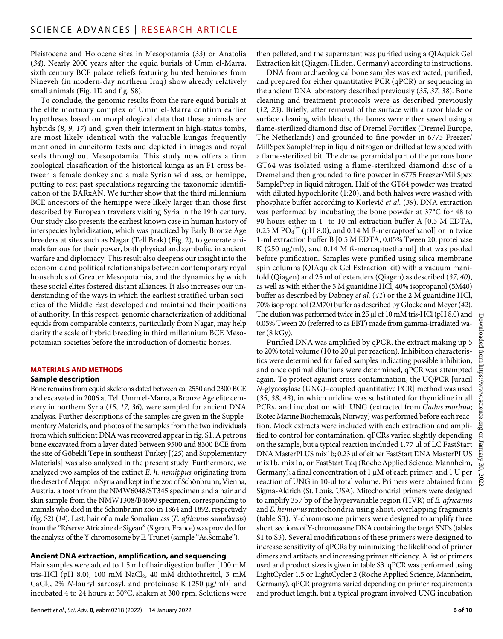Pleistocene and Holocene sites in Mesopotamia (*33*) or Anatolia (*34*). Nearly 2000 years after the equid burials of Umm el-Marra, sixth century BCE palace reliefs featuring hunted hemiones from Nineveh (in modern-day northern Iraq) show already relatively small animals (Fig. 1D and fig. S8).

To conclude, the genomic results from the rare equid burials at the elite mortuary complex of Umm el-Marra confirm earlier hypotheses based on morphological data that these animals are hybrids (*8*, *9*, *17*) and, given their interment in high-status tombs, are most likely identical with the valuable kungas frequently mentioned in cuneiform texts and depicted in images and royal seals throughout Mesopotamia. This study now offers a firm zoological classification of the historical kunga as an F1 cross between a female donkey and a male Syrian wild ass, or hemippe, putting to rest past speculations regarding the taxonomic identification of the BARxAN. We further show that the third millennium BCE ancestors of the hemippe were likely larger than those first described by European travelers visiting Syria in the 19th century. Our study also presents the earliest known case in human history of interspecies hybridization, which was practiced by Early Bronze Age breeders at sites such as Nagar (Tell Brak) (Fig. 2), to generate animals famous for their power, both physical and symbolic, in ancient warfare and diplomacy. This result also deepens our insight into the economic and political relationships between contemporary royal households of Greater Mesopotamia, and the dynamics by which these social elites fostered distant alliances. It also increases our understanding of the ways in which the earliest stratified urban societies of the Middle East developed and maintained their positions of authority. In this respect, genomic characterization of additional equids from comparable contexts, particularly from Nagar, may help clarify the scale of hybrid breeding in third millennium BCE Mesopotamian societies before the introduction of domestic horses.

# **MATERIALS AND METHODS**

#### **Sample description**

Bone remains from equid skeletons dated between ca. 2550 and 2300 BCE and excavated in 2006 at Tell Umm el-Marra, a Bronze Age elite cemetery in northern Syria (*15*, *17*, *36*), were sampled for ancient DNA analysis. Further descriptions of the samples are given in the Supplementary Materials, and photos of the samples from the two individuals from which sufficient DNA was recovered appear in fig. S1. A petrous bone excavated from a layer dated between 9500 and 8300 BCE from the site of Göbekli Tepe in southeast Turkey [(*25*) and Supplementary Materials] was also analyzed in the present study. Furthermore, we analyzed two samples of the extinct *E. h. hemippus* originating from the desert of Aleppo in Syria and kept in the zoo of Schönbrunn, Vienna, Austria, a tooth from the NMW6048/ST345 specimen and a hair and skin sample from the NMW1308/B4690 specimen, corresponding to animals who died in the Schönbrunn zoo in 1864 and 1892, respectively (fig. S2) (*14*). Last, hair of a male Somalian ass (*E. africanus somaliensis*) from the "Réserve Africaine de Sigean" (Sigean, France) was provided for the analysis of the Y chromosome by E. Trunet (sample "As.Somalie").

#### **Ancient DNA extraction, amplification, and sequencing**

Hair samples were added to 1.5 ml of hair digestion buffer [100 mM tris-HCl (pH 8.0), 100 mM  $NaCl<sub>2</sub>$ , 40 mM dithiothreitol, 3 mM CaCl<sub>2</sub>, 2% *N*-lauryl sarcosyl, and proteinase K (250 µg/ml)] and incubated 4 to 24 hours at 50°C, shaken at 300 rpm. Solutions were then pelleted, and the supernatant was purified using a QIAquick Gel Extraction kit (Qiagen, Hilden, Germany) according to instructions.

DNA from archaeological bone samples was extracted, purified, and prepared for either quantitative PCR (qPCR) or sequencing in the ancient DNA laboratory described previously (*35*, *37*, *38*). Bone cleaning and treatment protocols were as described previously (*12*, *23*). Briefly, after removal of the surface with a razor blade or surface cleaning with bleach, the bones were either sawed using a flame-sterilized diamond disc of Dremel Fortiflex (Dremel Europe, The Netherlands) and grounded to fine powder in 6775 Freezer/ MillSpex SamplePrep in liquid nitrogen or drilled at low speed with a flame-sterilized bit. The dense pyramidal part of the petrous bone GT64 was isolated using a flame-sterilized diamond disc of a Dremel and then grounded to fine powder in 6775 Freezer/MillSpex SamplePrep in liquid nitrogen. Half of the GT64 powder was treated with diluted hypochlorite (1:20), and both halves were washed with phosphate buffer according to Korlević *et al.* (*39*). DNA extraction was performed by incubating the bone powder at 37°C for 48 to 90 hours either in 1- to 10-ml extraction buffer A [0.5 M EDTA, 0.25 M  $PO_4^{3-}$  (pH 8.0), and 0.14 M ß-mercaptoethanol] or in twice 1-ml extraction buffer B [0.5 M EDTA, 0.05% Tween 20, proteinase K (250  $\mu$ g/ml), and 0.14 M ß-mercaptoethanol] that was pooled before purification. Samples were purified using silica membrane spin columns (QIAquick Gel Extraction kit) with a vacuum manifold (Qiagen) and 25 ml of extenders (Qiagen) as described (*37*, *40*), as well as with either the 5 M guanidine HCl, 40% isopropanol (5M40) buffer as described by Dabney *et al.* (*41*) or the 2 M guanidine HCl, 70% isopropanol (2M70) buffer as described by Glocke and Meyer (*42*). The elution was performed twice in 25 µl of 10 mM tris-HCl (pH 8.0) and 0.05% Tween 20 (referred to as EBT) made from gamma-irradiated water (8 kGy).

Purified DNA was amplified by qPCR, the extract making up 5 to 20% total volume (10 to 20 µl per reaction). Inhibition characteristics were determined for failed samples indicating possible inhibition, and once optimal dilutions were determined, qPCR was attempted again. To protect against cross-contamination, the UQPCR [uracil *N*-glycosylase (UNG)–coupled quantitative PCR] method was used (*35*, *38*, *43*), in which uridine was substituted for thymidine in all PCRs, and incubation with UNG (extracted from *Gadus morhua*; Biotec Marine Biochemicals, Norway) was performed before each reaction. Mock extracts were included with each extraction and amplified to control for contamination. qPCRs varied slightly depending on the sample, but a typical reaction included 1.77 µl of LC FastStart DNA MasterPLUS mix1b; 0.23 µl of either FastStart DNA MasterPLUS mix1b, mix1a, or FastStart Taq (Roche Applied Science, Mannheim, Germany); a final concentration of  $1 \mu M$  of each primer; and  $1 U$  per reaction of UNG in 10-µl total volume. Primers were obtained from Sigma-Aldrich (St. Louis, USA). Mitochondrial primers were designed to amplify 357 bp of the hypervariable region (HVR) of *E. africanus* and *E. hemionus* mitochondria using short, overlapping fragments (table S3). Y-chromosome primers were designed to amplify three short sections of Y-chromosome DNA containing the target SNPs (tables S1 to S3). Several modifications of these primers were designed to increase sensitivity of qPCRs by minimizing the likelihood of primer dimers and artifacts and increasing primer efficiency. A list of primers used and product sizes is given in table S3. qPCR was performed using LightCycler 1.5 or LightCycler 2 (Roche Applied Science, Mannheim, Germany). qPCR programs varied depending on primer requirements and product length, but a typical program involved UNG incubation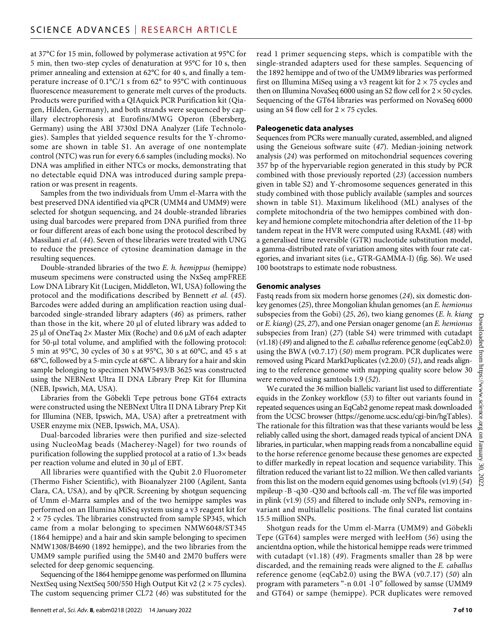at 37°C for 15 min, followed by polymerase activation at 95°C for 5 min, then two-step cycles of denaturation at 95°C for 10 s, then primer annealing and extension at 62°C for 40 s, and finally a temperature increase of 0.1°C/1 s from 62° to 95°C with continuous fluorescence measurement to generate melt curves of the products. Products were purified with a QIAquick PCR Purification kit (Qiagen, Hilden, Germany), and both strands were sequenced by capillary electrophoresis at Eurofins/MWG Operon (Ebersberg, Germany) using the ABI 3730xl DNA Analyzer (Life Technologies). Samples that yielded sequence results for the Y-chromosome are shown in table S1. An average of one nontemplate control (NTC) was run for every 6.6 samples (including mocks). No DNA was amplified in either NTCs or mocks, demonstrating that no detectable equid DNA was introduced during sample preparation or was present in reagents.

Samples from the two individuals from Umm el-Marra with the best preserved DNA identified via qPCR (UMM4 and UMM9) were selected for shotgun sequencing, and 24 double-stranded libraries using dual barcodes were prepared from DNA purified from three or four different areas of each bone using the protocol described by Massilani *et al.* (*44*). Seven of these libraries were treated with UNG to reduce the presence of cytosine deamination damage in the resulting sequences.

Double-stranded libraries of the two *E. h. hemippus* (hemippe) museum specimens were constructed using the NxSeq ampFREE Low DNA Library Kit (Lucigen, Middleton, WI, USA) following the protocol and the modifications described by Bennett *et al.* (*45*). Barcodes were added during an amplification reaction using dualbarcoded single-stranded library adapters (*46*) as primers, rather than those in the kit, where  $20 \mu l$  of eluted library was added to 25 µl of OneTaq 2× Master Mix (Roche) and 0.6 µM of each adapter for 50-µl total volume, and amplified with the following protocol: 5 min at 95°C, 30 cycles of 30 s at 95°C, 30 s at 60°C, and 45 s at 68°C, followed by a 5-min cycle at 68°C. A library for a hair and skin sample belonging to specimen NMW5493/B 3625 was constructed using the NEBNext Ultra II DNA Library Prep Kit for Illumina (NEB, Ipswich, MA, USA).

Libraries from the Göbekli Tepe petrous bone GT64 extracts were constructed using the NEBNext Ultra II DNA Library Prep Kit for Illumina (NEB, Ipswich, MA, USA) after a pretreatment with USER enzyme mix (NEB, Ipswich, MA, USA).

Dual-barcoded libraries were then purified and size-selected using NucleoMag beads (Macherey-Nagel) for two rounds of purification following the supplied protocol at a ratio of 1.3× beads per reaction volume and eluted in 30 µl of EBT.

All libraries were quantified with the Qubit 2.0 Fluorometer (Thermo Fisher Scientific), with Bioanalyzer 2100 (Agilent, Santa Clara, CA, USA), and by qPCR. Screening by shotgun sequencing of Umm el-Marra samples and of the two hemippe samples was performed on an Illumina MiSeq system using a v3 reagent kit for  $2 \times 75$  cycles. The libraries constructed from sample SP345, which came from a molar belonging to specimen NMW6048/ST345 (1864 hemippe) and a hair and skin sample belonging to specimen NMW1308/B4690 (1892 hemippe), and the two libraries from the UMM9 sample purified using the 5M40 and 2M70 buffers were selected for deep genomic sequencing.

Sequencing of the 1864 hemippe genome was performed on Illumina NextSeq using NextSeq 500/550 High Output Kit v2 (2 × 75 cycles). The custom sequencing primer CL72 (*46*) was substituted for the read 1 primer sequencing steps, which is compatible with the single-stranded adapters used for these samples. Sequencing of the 1892 hemippe and of two of the UMM9 libraries was performed first on Illumina MiSeq using a v3 reagent kit for  $2 \times 75$  cycles and then on Illumina NovaSeq 6000 using an S2 flow cell for  $2 \times 50$  cycles. Sequencing of the GT64 libraries was performed on NovaSeq 6000 using an S4 flow cell for  $2 \times 75$  cycles.

#### **Paleogenetic data analyses**

Sequences from PCRs were manually curated, assembled, and aligned using the Geneious software suite (*47*). Median-joining network analysis (*24*) was performed on mitochondrial sequences covering 357 bp of the hypervariable region generated in this study by PCR combined with those previously reported (*23*) (accession numbers given in table S2) and Y-chromosome sequences generated in this study combined with those publicly available (samples and sources shown in table S1). Maximum likelihood (ML) analyses of the complete mitochondria of the two hemippes combined with donkey and hemione complete mitochondria after deletion of the 11-bp tandem repeat in the HVR were computed using RAxML (*48*) with a generalised time reversible (GTR) nucleotide substitution model, a gamma-distributed rate of variation among sites with four rate categories, and invariant sites (i.e., GTR-GAMMA-I) (fig. S6). We used 100 bootstraps to estimate node robustness.

#### **Genomic analyses**

Fastq reads from six modern horse genomes (*24*), six domestic donkey genomes (*25*), three Mongolian khulan genomes (an *E. hemionus* subspecies from the Gobi) (*25*, *26*), two kiang genomes (*E. h. kiang* or *E. kiang*) (*25*, *27*), and one Persian onager genome (an *E. hemionus* subspecies from Iran) (*27*) (table S4) were trimmed with cutadapt (v1.18) (*49*) and aligned to the *E. caballus* reference genome (eqCab2.0) using the BWA (v0.7.17) (*50*) mem program. PCR duplicates were removed using Picard MarkDuplicates (v2.20.0) (*51*), and reads aligning to the reference genome with mapping quality score below 30 were removed using samtools 1.9 (*52*).

We curated the 36 million biallelic variant list used to differentiate equids in the Zonkey workflow (*53*) to filter out variants found in repeated sequences using an EqCab2 genome repeat mask downloaded from the UCSC browser [\(https://genome.ucsc.edu/cgi-bin/hgTables\)](https://genome.ucsc.edu/cgi-bin/hgTables). The rationale for this filtration was that these variants would be less reliably called using the short, damaged reads typical of ancient DNA libraries, in particular, when mapping reads from a noncaballine equid to the horse reference genome because these genomes are expected to differ markedly in repeat location and sequence variability. This filtration reduced the variant list to 22 million. We then called variants from this list on the modern equid genomes using bcftools (v1.9) (*54*) mpileup -B -q30 -Q30 and bcftools call -m. The vcf file was imported in plink (v1.9) (*55*) and filtered to include only SNPs, removing invariant and multiallelic positions. The final curated list contains 15.5 million SNPs.

Shotgun reads for the Umm el-Marra (UMM9) and Göbekli Tepe (GT64) samples were merged with leeHom (*56*) using the ancientdna option, while the historical hemippe reads were trimmed with cutadapt (v1.18) (*49*). Fragments smaller than 28 bp were discarded, and the remaining reads were aligned to the *E. caballus* reference genome (eqCab2.0) using the BWA (v0.7.17) (*50*) aln program with parameters "-n 0.01 -l 0" followed by samse (UMM9 and GT64) or sampe (hemippe). PCR duplicates were removed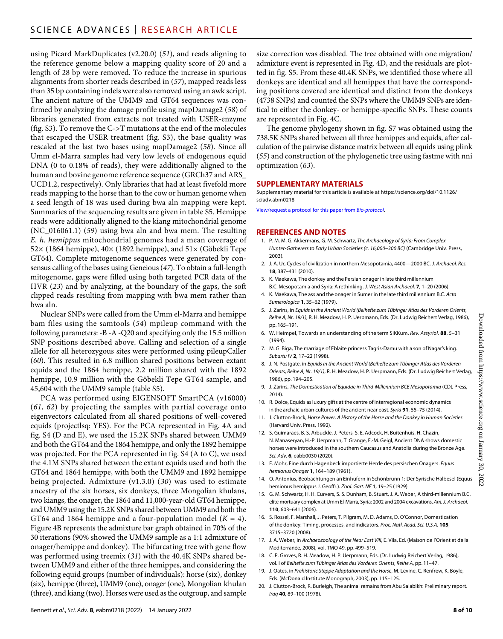using Picard MarkDuplicates (v2.20.0) (*51*), and reads aligning to the reference genome below a mapping quality score of 20 and a length of 28 bp were removed. To reduce the increase in spurious alignments from shorter reads described in (*57*), mapped reads less than 35 bp containing indels were also removed using an awk script. The ancient nature of the UMM9 and GT64 sequences was confirmed by analyzing the damage profile using mapDamage2 (*58*) of libraries generated from extracts not treated with USER-enzyme (fig. S3). To remove the C->T mutations at the end of the molecules that escaped the USER treatment (fig. S3), the base quality was rescaled at the last two bases using mapDamage2 (*58*). Since all Umm el-Marra samples had very low levels of endogenous equid DNA (0 to 0.18% of reads), they were additionally aligned to the human and bovine genome reference sequence (GRCh37 and ARS\_ UCD1.2, respectively). Only libraries that had at least fivefold more reads mapping to the horse than to the cow or human genome when a seed length of 18 was used during bwa aln mapping were kept. Summaries of the sequencing results are given in table S5. Hemippe reads were additionally aligned to the kiang mitochondrial genome (NC\_016061.1) (*59*) using bwa aln and bwa mem. The resulting *E. h. hemippus* mitochondrial genomes had a mean coverage of 52× (1864 hemippe), 40× (1892 hemippe), and 51× (Göbekli Tepe GT64). Complete mitogenome sequences were generated by consensus calling of the bases using Geneious (*47*). To obtain a full-length mitogenome, gaps were filled using both targeted PCR data of the HVR (*23*) and by analyzing, at the boundary of the gaps, the soft clipped reads resulting from mapping with bwa mem rather than bwa aln.

Nuclear SNPs were called from the Umm el-Marra and hemippe bam files using the samtools (*54*) mpileup command with the following parameters: -B -A -Q20 and specifying only the 15.5 million SNP positions described above. Calling and selection of a single allele for all heterozygous sites were performed using pileupCaller (*60*). This resulted in 6.8 million shared positions between extant equids and the 1864 hemippe, 2.2 million shared with the 1892 hemippe, 10.9 million with the Göbekli Tepe GT64 sample, and 45,604 with the UMM9 sample (table S5).

PCA was performed using EIGENSOFT SmartPCA (v16000) (*61*, *62*) by projecting the samples with partial coverage onto eigenvectors calculated from all shared positions of well-covered equids (projectlsq: YES). For the PCA represented in Fig. 4A and fig. S4 (D and E), we used the 15.2K SNPs shared between UMM9 and both the GT64 and the 1864 hemippe, and only the 1892 hemippe was projected. For the PCA represented in fig. S4 (A to C), we used the 4.1M SNPs shared between the extant equids used and both the GT64 and 1864 hemippe, with both the UMM9 and 1892 hemippe being projected. Admixture (v1.3.0) (*30*) was used to estimate ancestry of the six horses, six donkeys, three Mongolian khulans, two kiangs, the onager, the 1864 and 11,000-year-old GT64 hemippe, and UMM9 using the 15.2K SNPs shared between UMM9 and both the GT64 and 1864 hemippe and a four-population model  $(K = 4)$ . Figure 4B represents the admixture bar graph obtained in 70% of the 30 iterations (90% showed the UMM9 sample as a 1:1 admixture of onager/hemippe and donkey). The bifurcating tree with gene flow was performed using treemix (*31*) with the 40.4K SNPs shared between UMM9 and either of the three hemippes, and considering the following equid groups (number of individuals): horse (six), donkey (six), hemippe (three), UMM9 (one), onager (one), Mongolian khulan (three), and kiang (two). Horses were used as the outgroup, and sample

size correction was disabled. The tree obtained with one migration/ admixture event is represented in Fig. 4D, and the residuals are plotted in fig. S5. From these 40.4K SNPs, we identified those where all donkeys are identical and all hemippes that have the corresponding positions covered are identical and distinct from the donkeys (4738 SNPs) and counted the SNPs where the UMM9 SNPs are identical to either the donkey- or hemippe-specific SNPs. These counts are represented in Fig. 4C.

The genome phylogeny shown in fig. S7 was obtained using the 738.5K SNPs shared between all three hemippes and equids, after calculation of the pairwise distance matrix between all equids using plink (*55*) and construction of the phylogenetic tree using fastme with nni optimization (*63*).

#### **SUPPLEMENTARY MATERIALS**

Supplementary material for this article is available at [https://science.org/doi/10.1126/](https://science.org/doi/10.1126/sciadv.abm0218) [sciadv.abm0218](https://science.org/doi/10.1126/sciadv.abm0218)

[View/request a protocol for this paper from](https://en.bio-protocol.org/cjrap.aspx?eid=10.1126/sciadv.abm0218) *Bio-protocol*.

#### **REFERENCES AND NOTES**

- 1. P. M. M. G. Akkermans, G. M. Schwartz, *The Archaeology of Syria: From Complex Hunter-Gatherers to Early Urban Societies (c. 16,000–300 BC)* (Cambridge Univ. Press, 2003).
- 2. J. A. Ur, Cycles of civilization in northern Mesopotamia, 4400—2000 BC. *J. Archaeol. Res.* **18**, 387–431 (2010).
- 3. K. Maekawa, The donkey and the Persian onager in late third millennium B.C. Mesopotamia and Syria: A rethinking. *J. West Asian Archaeol.* **7**, 1–20 (2006).
- 4. K. Maekawa, The ass and the onager in Sumer in the late third millennium B.C. *Acta Sumerologica* **1**, 35–62 (1979).
- 5. J. Zarins, in *Equids in the Ancient World (Beihefte zum Tübinger Atlas des Vorderen Orients, Reihe A, Nr. 19/1)*, R. H. Meadow, H. P. Uerpmann, Eds. (Dr. Ludwig Reichert Verlag, 1986), pp. 165–191.
- 6. W. Heimpel, Towards an understanding of the term SiKKum. *Rev. Assyriol.* **88**, 5–31 (1994).
- 7. M. G. Biga, The marriage of Eblaite princess Tagris-Damu with a son of Nagar's king. *Subartu IV* **2**, 17–22 (1998).
- 8. J. N. Postgate, in *Equids in the Ancient World (Beihefte zum Tübinger Atlas des Vorderen Orients, Reihe A, Nr. 19/1)*, R. H. Meadow, H. P. Uerpmann, Eds. (Dr. Ludwig Reichert Verlag, 1986), pp. 194–205.
- 9. J. Zarins, *The Domestication of Equidae in Third-Millennium BCE Mesopotamia* (CDL Press, 2014).
- 10. R. Dolce, Equids asluxury gifts at the centre of interregional economic dynamics in the archaic urban cultures of the ancient near east. *Syria* **91**, 55–75 (2014).
- 11. J. Clutton-Brock, *Horse Power. A History of the Horse and the Donkey in Human Societies* (Harvard Univ. Press, 1992).
- 12. S. Guimaraes, B. S. Arbuckle, J. Peters, S. E. Adcock, H. Buitenhuis, H. Chazin, N. Manaseryan, H.-P. Uerpmann, T. Grange, E.-M. Geigl, Ancient DNA shows domestic horses were introduced in the southern Caucasus and Anatolia during the Bronze Age. *Sci. Adv.* **6**, eabb0030 (2020).
- 13. E. Mohr, Eine durch Hagenbeck importierte Herde des persischen Onagers. *Equus hemionus Onager* **1**, 164–189 (1961).
- 14. O. Antonius, Beobachtungen an Einhufern in Schönbrunn 1: Der Syrische Halbesel (Equus hemionus hemippus J. Geoffr.). *Zool. Gart. NF* **1**, 19–25 (1929).
- 15. G. M. Schwartz, H. H. Curvers, S. S. Dunham, B. Stuart, J. A. Weber, A third-millennium B.C. elite mortuary complex at Umm El-Marra, Syria: 2002 and2004 excavations. *Am. J. Archaeol.* **110**, 603–641 (2006).
- 16. S. Rossel, F. Marshall, J. Peters, T. Pilgram, M. D. Adams, D. O'Connor, Domestication of the donkey: Timing, processes, and indicators. *Proc. Natl. Acad. Sci. U.S.A.* **105**, 3715–3720 (2008).
- 17. J. A. Weber, in *Archaeozoology of the Near East VIII*, E. Vila, Ed. (Maison de l'Orient et de la Méditerranée, 2008), vol. TMO 49, pp. 499–519.
- 18. C. P. Groves, R. H. Meadow, H. P. Uerpmann, Eds. (Dr. Ludwig Reichert Verlag, 1986), vol. I of *Beihefte zum Tübinger Atlas des Vorderen Orients, Reihe A*, pp. 11–47.
- 19. J. Oates, in *Prehistoric Steppe Adaptation and the Horse*, M. Levine, C. Renfrew, K. Boyle, Eds. (McDonald Institute Monograph, 2003), pp. 115–125.
- 20. J. Clutton-Brock, R. Burleigh, The animal remains from Abu Salabikh: Preliminary report. *Iraq* **40**, 89–100 (1978).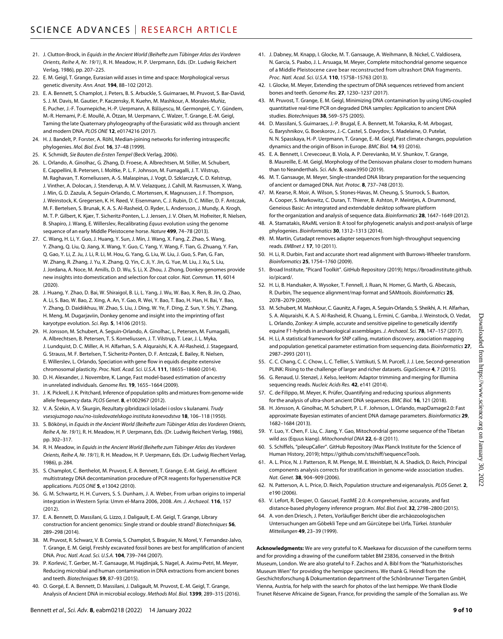- 21. J. Clutton-Brock, in *Equids in the Ancient World (Beihefte zum Tübinger Atlas des Vorderen Orients, Reihe A, Nr. 19/1)*, R. H. Meadow, H. P. Uerpmann, Eds. (Dr. Ludwig Reichert Verlag, 1986), pp. 207–225.
- 22. E. M. Geigl, T. Grange, Eurasian wild asses in time and space: Morphological versus genetic diversity. *Ann. Anat.* **194**, 88–102 (2012).
- 23. E. A. Bennett, S. Champlot, J. Peters, B. S. Arbuckle, S. Guimaraes, M. Pruvost, S. Bar-David, S. J. M. Davis, M. Gautier, P. Kaczensky, R. Kuehn, M. Mashkour, A. Morales-Muñiz, E. Pucher, J.-F. Tournepiche, H.-P. Uerpmann, A. Bălăşescu, M. Germonpré, C. Y. Gündem, M.-R. Hemami, P.-E. Moullé, A. Ötzan, M. Uerpmann, C. Walzer, T. Grange, E.-M. Geigl, Taming the late Quaternary phylogeography of the Eurasiatic wild ass through ancient and modern DNA. *PLOS ONE* **12**, e0174216 (2017).
- 24. H. J. Bandelt, P. Forster, A. Röhl, Median-joining networks for inferring intraspecific phylogenies. *Mol. Biol. Evol.* **16**, 37–48 (1999).
- 25. K. Schmidt, *Sie Bauten die Ersten Tempel* (Beck Verlag, 2006).
- 26. L. Orlando, A. Ginolhac, G. Zhang, D. Froese, A. Albrechtsen, M. Stiller, M. Schubert, E. Cappellini, B. Petersen, I. Moltke, P. L. F. Johnson, M. Fumagalli, J. T. Vilstrup, M. Raghavan, T. Korneliussen, A.-S. Malaspinas, J. Vogt, D. Szklarczyk, C. D. Kelstrup, J. Vinther, A. Dolocan, J. Stenderup, A. M. V. Velazquez, J. Cahill, M. Rasmussen, X. Wang, J. Min, G. D. Zazula, A. Seguin-Orlando, C. Mortensen, K. Magnussen, J. F. Thompson, J. Weinstock, K. Gregersen, K. H. Røed, V. Eisenmann, C. J. Rubin, D. C. Miller, D. F. Antczak, M. F. Bertelsen, S. Brunak, K. A. S. Al-Rasheid, O. Ryder, L. Andersson, J. Mundy, A. Krogh, M. T. P. Gilbert, K. Kjær, T. Sicheritz-Ponten, L. J. Jensen, J. V. Olsen, M. Hofreiter, R. Nielsen, B. Shapiro, J. Wang, E. Willerslev, Recalibrating *Equus* evolution using the genome sequence of an early Middle Pleistocene horse. *Nature* **499**, 74–78 (2013).
- 27. C. Wang, H. Li, Y. Guo, J. Huang, Y. Sun, J. Min, J. Wang, X. Fang, Z. Zhao, S. Wang, Y. Zhang, Q. Liu, Q. Jiang, X. Wang, Y. Guo, C. Yang, Y. Wang, F. Tian, G. Zhuang, Y. Fan, Q. Gao, Y. Li, Z. Ju, J. Li, R. Li, M. Hou, G. Yang, G. Liu, W. Liu, J. Guo, S. Pan, G. Fan, W. Zhang, R. Zhang, J. Yu, X. Zhang, Q. Yin, C. Ji, Y. Jin, G. Yue, M. Liu, J. Xu, S. Liu, J. Jordana, A. Noce, M. Amills, D. D. Wu, S. Li, X. Zhou, J. Zhong, Donkey genomes provide new insights into domestication and selection for coat color. *Nat. Commun.* **11**, 6014 (2020).
- 28. J. Huang, Y. Zhao, D. Bai, W. Shiraigol, B. Li, L. Yang, J. Wu, W. Bao, X. Ren, B. Jin, Q. Zhao, A. Li, S. Bao, W. Bao, Z. Xing, A. An, Y. Gao, R. Wei, Y. Bao, T. Bao, H. Han, H. Bai, Y. Bao, Y. Zhang, D. Daidiikhuu, W. Zhao, S. Liu, J. Ding, W. Ye, F. Ding, Z. Sun, Y. Shi, Y. Zhang, H. Meng, M. Dugarjaviin, Donkey genome and insight into the imprinting of fast karyotype evolution. *Sci. Rep.* **5**, 14106 (2015).
- 29. H. Jonsson, M. Schubert, A. Seguin-Orlando, A. Ginolhac, L. Petersen, M. Fumagalli, A. Albrechtsen, B. Petersen, T. S. Korneliussen, J. T. Vilstrup, T. Lear, J. L. Myka, J. Lundquist, D. C. Miller, A. H. Alfarhan, S. A. Alquraishi, K. A. Al-Rasheid, J. Stagegaard, G. Strauss, M. F. Bertelsen, T. Sicheritz-Ponten, D. F. Antczak, E. Bailey, R. Nielsen, E. Willerslev, L. Orlando, Speciation with gene flow in equids despite extensive chromosomal plasticity. *Proc. Natl. Acad. Sci. U.S.A.* **111**, 18655–18660 (2014).
- 30. D. H. Alexander, J. Novembre, K. Lange, Fast model-based estimation of ancestry in unrelated individuals. *Genome Res.* **19**, 1655–1664 (2009).
- 31. J. K. Pickrell, J. K. Pritchard, Inference of population splits and mixtures from genome-wide allele frequency data. *PLOS Genet.* **8**, e1002967 (2012).
- 32. V. A. Ščekin, A. V. Škurgin, Rezultaty gibridizacii lošadei i oslov s kulanami. *Trudy vsesojuznogo naučno-issledovatelskogo instituta konevodstva* **18**, 106–118 (1950).
- 33. S. Bökönyi, in *Equids in the Ancient World (Beihefte zum Tübinger Atlas des Vorderen Orients, Reihe A, Nr. 19/1)*, R. H. Meadow, H. P. Uerpmann, Eds. (Dr. Ludwig Reichert Verlag, 1986), pp. 302–317.
- 34. R. H. Meadow, in *Equids in the Ancient World (Beihefte zum Tübinger Atlas des Vorderen Orients, Reihe A, Nr. 19/1)*, R. H. Meadow, H. P. Uerpmann, Eds. (Dr. Ludwig Riechert Verlag, 1986), p. 284.
- 35. S. Champlot, C. Berthelot, M. Pruvost, E. A. Bennett, T. Grange, E.-M. Geigl, An efficient multistrategy DNA decontamination procedure of PCR reagents for hypersensitive PCR applications. *PLOS ONE* **5**, e13042 (2010).
- 36. G. M. Schwartz, H. H. Curvers, S. S. Dunham, J. A. Weber, From urban origins to imperial integration in Western Syria: Umm el-Marra 2006, 2008. *Am. J. Archaeol.* **116**, 157 (2012).
- 37. E. A. Bennett, D. Massilani, G. Lizzo, J. Daligault, E.-M. Geigl, T. Grange, Library construction for ancient genomics: Single strand or double strand? *Biotechniques* **56**, 289–298 (2014).
- 38. M. Pruvost, R. Schwarz, V. B. Correia, S. Champlot, S. Braguier, N. Morel, Y. Fernandez-Jalvo, T. Grange, E. M. Geigl, Freshly excavated fossil bones are best for amplification of ancient DNA. *Proc. Natl. Acad. Sci. U.S.A.* **104**, 739–744 (2007).
- 39. P. Korlević, T. Gerber, M.-T. Gansauge, M. Hajdinjak, S. Nagel, A. Aximu-Petri, M. Meyer, Reducing microbial and human contamination in DNA extractions from ancient bones and teeth. *Biotechniques* **59**, 87–93 (2015).
- 40. O. Gorgé, E. A. Bennett, D. Massilani, J. Daligault, M. Pruvost, E.-M. Geigl, T. Grange, Analysis of Ancient DNA in microbial ecology. *Methods Mol. Biol.* **1399**, 289–315 (2016).
- 41. J. Dabney, M. Knapp, I. Glocke, M. T. Gansauge, A. Weihmann, B. Nickel, C. Valdiosera, N. Garcia, S. Paabo, J. L. Arsuaga, M. Meyer, Complete mitochondrial genome sequence of a Middle Pleistocene cave bear reconstructed from ultrashort DNA fragments. *Proc. Natl. Acad. Sci. U.S.A.* **110**, 15758–15763 (2013).
- 42. I. Glocke, M. Meyer, Extending the spectrum of DNA sequences retrieved from ancient bones and teeth. *Genome Res.* **27**, 1230–1237 (2017).
- 43. M. Pruvost, T. Grange, E. M. Geigl, Minimizing DNA contamination by using UNG-coupled quantitative real-time PCR on degraded DNA samples: Application to ancient DNA studies. *Biotechniques* **38**, 569–575 (2005).
- 44. D. Massilani, S. Guimaraes, J.-P. Brugal, E. A. Bennett, M. Tokarska, R.-M. Arbogast, G. Baryshnikov, G. Boeskorov, J.-C. Castel, S. Davydov, S. Madelaine, O. Putelat, N. N. Spasskaya, H.-P. Uerpmann, T. Grange, E.-M. Geigl, Past climate changes, population dynamics and the origin of Bison in Europe. *BMC Biol.* **14**, 93 (2016).
- 45. E. A. Bennett, I. Crevecoeur, B. Viola, A. P. Derevianko, M. V. Shunkov, T. Grange, B. Maureille, E.-M. Geigl, Morphology of the Denisovan phalanx closer to modern humans than to Neanderthals. *Sci. Adv.* **5**, eaaw3950 (2019).
- 46. M. T. Gansauge, M. Meyer, Single-stranded DNA library preparation for the sequencing of ancient or damaged DNA. *Nat. Protoc.* **8**, 737–748 (2013).
- 47. M. Kearse, R. Moir, A. Wilson, S. Stones-Havas, M. Cheung, S. Sturrock, S. Buxton, A. Cooper, S. Markowitz, C. Duran, T. Thierer, B. Ashton, P. Meintjes, A. Drummond, Geneious Basic: An integrated and extendable desktop software platform for the organization and analysis ofsequence data. *Bioinformatics* **28**, 1647–1649 (2012).
- 48. A. Stamatakis, RAxML version 8: A tool for phylogenetic analysis and post-analysis of large phylogenies. *Bioinformatics* **30**, 1312–1313 (2014).
- 49. M. Martin, Cutadapt removes adapter sequences from high-throughput sequencing reads. *EMBnet J.* **17**, 10 (2011).
- 50. H. Li, R. Durbin, Fast and accurate short read alignment with Burrows-Wheeler transform. *Bioinformatics* **25**, 1754–1760 (2009).
- 51. Broad Institute, "Picard Toolkit". GitHub Repository (2019); [https://broadinstitute.github.](https://broadinstitute.github.io/picard/) [io/picard/.](https://broadinstitute.github.io/picard/)
- 52. H. Li, B. Handsaker, A. Wysoker, T. Fennell, J. Ruan, N. Homer, G. Marth, G. Abecasis, R. Durbin, The sequence alignment/map format and SAMtools. *Bioinformatics* **25**, 2078–2079 (2009).
- 53. M. Schubert, M. Mashkour, C. Gaunitz, A. Fages, A. Seguin-Orlando, S. Sheikhi, A. H. Alfarhan, S. A. Alquraishi, K. A. S. Al-Rasheid, R. Chuang, L. Ermini, C. Gamba, J. Weinstock, O. Vedat, L. Orlando, Zonkey: A simple, accurate and sensitive pipeline to genetically identify equine F1-hybrids in archaeological assemblages. *J. Archaeol. Sci.* **78**, 147–157 (2017).
- 54. H. Li, A statistical framework for SNP calling, mutation discovery, association mapping and population genetical parameter estimation from sequencing data. *Bioinformatics* **27**, 2987–2993 (2011).
- 55. C. C. Chang, C. C. Chow, L. C. Tellier, S. Vattikuti, S. M. Purcell, J. J. Lee, Second-generation PLINK: Rising to the challenge of larger and richer datasets. *GigaScience* **4**, 7 (2015).
- 56. G. Renaud, U. Stenzel, J. Kelso, leeHom: Adaptor trimming and merging for Illumina sequencing reads. *Nucleic Acids Res.* **42**, e141 (2014).
- 57. C. de Filippo, M. Meyer, K. Prüfer, Quantifying and reducing spurious alignments for the analysis of ultra-short ancient DNA sequences. *BMC Biol.* **16**, 121 (2018).
- 58. H. Jónsson, A. Ginolhac, M. Schubert, P. L. F. Johnson, L. Orlando, mapDamage2.0: Fast approximate Bayesian estimates of ancient DNA damage parameters. *Bioinformatics* **29**, 1682–1684 (2013).
- 59. Y. Luo, Y. Chen, F. Liu, C. Jiang, Y. Gao, Mitochondrial genome sequence of the Tibetan wild ass (Equus kiang). *Mitochondrial DNA* **22**, 6–8 (2011).
- 60. S. Schiffels, "pileupCaller". GitHub Repository (Max Planck Institute for the Science of Human History, 2019); [https://github.com/stschiff/sequenceTools.](https://github.com/stschiff/sequenceTools)
- 61. A. L. Price, N. J. Patterson, R. M. Plenge, M. E. Weinblatt, N. A. Shadick, D. Reich, Principal components analysis corrects for stratification in genome-wide association studies. *Nat. Genet.* **38**, 904–909 (2006).
- 62. N. Patterson, A. L. Price, D. Reich, Population structure and eigenanalysis. *PLOS Genet.* **2**, e190 (2006).
- 63. V. Lefort, R. Desper, O. Gascuel, FastME 2.0: A comprehensive, accurate, and fast distance-based phylogeny inference program. *Mol. Biol. Evol.* **32**, 2798–2800 (2015).
- 64. A. von den Driesch, J. Peters, Vorläufiger Bericht über die archäozoologischen Untersuchungen am Göbekli Tepe und am Gürcütepe bei Urfa, Türkei. *Istanbuler Mitteilungen* **49**, 23–39 (1999).

**Acknowledgments:** We are very grateful to K. Maekawa for discussion of the cuneiform terms and for providing a drawing of the cuneiform tablet BM 23836, conserved in the British Museum, London. We are also grateful to F. Zachos and A. Bibl from the "Naturhistorisches Museum Wien" for providing the hemippe specimens. We thank G. Heindl from the Geschichtsforschung & Dokumentation department of the Schönbrunner Tiergarten GmbH, Vienna, Austria, for help with the search for photos of the last hemippe. We thank Elodie Trunet Réserve Africaine de Sigean, France, for providing the sample of the Somalian ass. We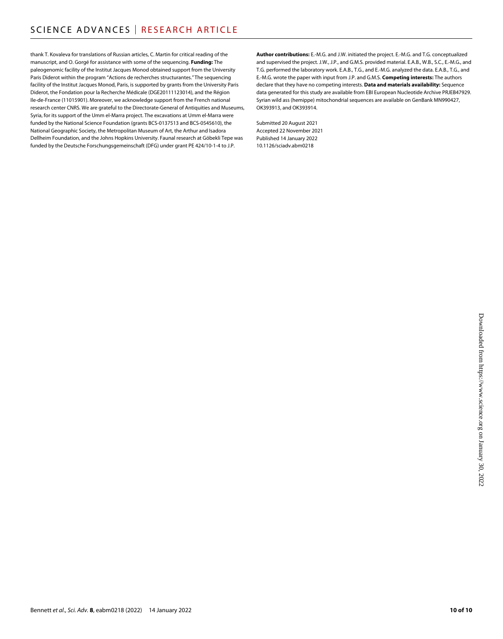thank T. Kovaleva for translations of Russian articles, C. Martin for critical reading of the manuscript, and O. Gorgé for assistance with some of the sequencing. **Funding:** The paleogenomic facility of the Institut Jacques Monod obtained support from the University Paris Diderot within the program "Actions de recherches structurantes." The sequencing facility of the Institut Jacques Monod, Paris, is supported by grants from the University Paris Diderot, the Fondation pour la Recherche Médicale (DGE20111123014), and the Région Ile-de-France (11015901). Moreover, we acknowledge support from the French national research center CNRS. We are grateful to the Directorate-General of Antiquities and Museums, Syria, for its support of the Umm el-Marra project. The excavations at Umm el-Marra were funded by the National Science Foundation (grants BCS-0137513 and BCS-0545610), the National Geographic Society, the Metropolitan Museum of Art, the Arthur and Isadora Dellheim Foundation, and the Johns Hopkins University. Faunal research at Göbekli Tepe was funded by the Deutsche Forschungsgemeinschaft (DFG) under grant PE 424/10-1-4 to J.P.

**Author contributions:** E.-M.G. and J.W. initiated the project. E.-M.G. and T.G. conceptualized and supervised the project. J.W., J.P., and G.M.S. provided material. E.A.B., W.B., S.C., E.-M.G., and T.G. performed the laboratory work. E.A.B., T.G., and E.-M.G. analyzed the data. E.A.B., T.G., and E.-M.G. wrote the paper with input from J.P. and G.M.S. **Competing interests:** The authors declare that they have no competing interests. **Data and materials availability:** Sequence data generated for this study are available from EBI European Nucleotide Archive PRJEB47929. Syrian wild ass (hemippe) mitochondrial sequences are available on GenBank MN990427, OK393913, and OK393914.

Submitted 20 August 2021 Accepted 22 November 2021 Published 14 January 2022 10.1126/sciadv.abm0218